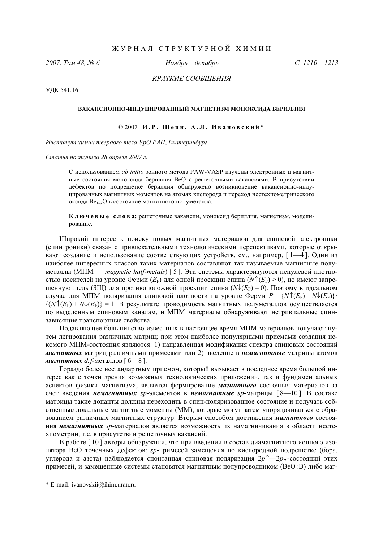*2007. Ɍɨɦ 48, ʋ 6 ɇɨɹɛɪɶ – ɞɟɤɚɛɪɶ ɋ. 1210 – 1213*

КРАТКИЕ СООБЩЕНИЯ

ɍȾɄ 541.16

## ВАКАНСИОННО-ИНДУЦИРОВАННЫЙ МАГНЕТИЗМ МОНОКСИДА БЕРИЛЛИЯ

© 2007 **ɂ . Ɋ . ɒɟɢɧ , Ⱥ . Ʌ . ɂɜɚɧɨɜɫɤɢɣ** \*

*Институт химии твердого тела УрО РАН, Екатеринбург* 

 $C$ татья поступила 28 апреля 2007 г.

С использованием *ab initio* зонного метода PAW-VASP изучены электронные и магнитные состояния моноксида бериллия ВеО с решеточными вакансиями. В присутствии дефектов по подрешетке бериллия обнаружено возникновение вакансионно-индуцированных магнитных моментов на атомах кислорода и переход нестехиометрического оксида Ве<sub>1–*x*</sub>О в состояние магнитного полуметалла.

**Ключевые слова:** решеточные вакансии, моноксил бериллия, магнетизм, молелирование.

Широкий интерес к поиску новых магнитных материалов для спиновой электроники (спинтроники) связан с привлекательными технологическими перспективами, которые открывают создание и использование соответствующих устройств, см., например,  $[1-4]$ . Один из наиболее интересных классов таких материалов составляют так называемые магнитные полуметаллы (МПМ — *magnetic half-metals*) [5]. Эти системы характеризуются ненулевой плотно- $\text{ctb}$ ю носителей на уровне Ферми  $(E_{\text{F}})$  для одной проекции спина  $(N \uparrow (E_{\text{F}}) > 0)$ , но имеют запрещенную щель (ЗЩ) для противоположной проекции спина  $(N\sqrt{k_F}) = 0$ ). Поэтому в идеальном случае для МПМ поляризация спиновой плотности на уровне Ферми  $P = \{N^{\uparrow}(E_F) - N^{\downarrow}(E_F)\}/$  $\frac{1}{N}$ ( $E_F$ ) +  $N\sqrt{(E_F)}$  = 1. В результате проводимость магнитных полуметаллов осуществляется по выделенным спиновым каналам, и МПМ материалы обнаруживают нетривиальные спинзависящие транспортные свойства.

Полавляющее большинство известных в настоящее время МПМ материалов получают путем легирования различных матриц; при этом наиболее популярными приемами создания искомого МПМ-состояния являются: 1) направленная модификация спектра спиновых состояний **магнитных** матриц различными примесями или 2) введение в немагнитные матрицы атомов *Maгнитных d,f-*металлов [ 6—8 ].

Гораздо более нестандартным приемом, который вызывает в последнее время большой интерес как с точки зрения возможных технологических приложений, так и фундаментальных аспектов физики магнетизма, является формирование магнитного состояния материалов за счет введения *немагнитных sp*-элементов в немагнитные sp-матрицы [8—10]. В составе матрицы такие допанты должны переходить в спин-поляризованное состояние и получать собственные локальные магнитные моменты (ММ), которые могут затем упорядочиваться с образованием различных магнитных структур. Вторым способом достижения магнитного состояния **немагнитных** *sp*-материалов является возможность их намагничивания в области нестехиометрии, т.е. в присутствии решеточных вакансий.

В работе [10] авторы обнаружили, что при введении в состав диамагнитного ионного изолятора ВеО точечных дефектов: *sp*-примесей замещения по кислородной подрешетке (бора, углерода и азота) наблюдается спонтанная спиновая поляризация 2*p*↑—2*p*↓ состояний этих примесей, и замещенные системы становятся магнитным полупроводником (ВеО:В) либо маг-

l

<sup>\*</sup> E-mail: ivanovskii@ihim.uran.ru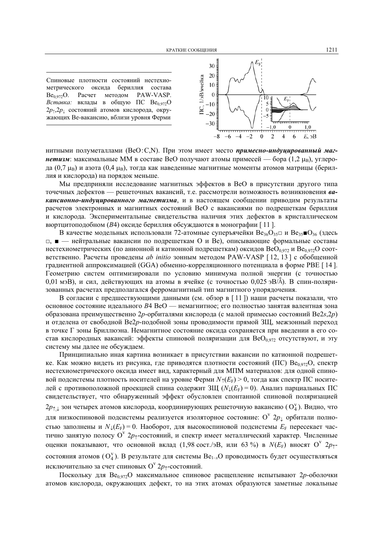Спиновые плотности состояний нестехиометрического оксида бериллия состава Be<sub>0.972</sub>O. Расчет методом PAW-VASP. *Вставка:* вклады в общую ПС Ве<sub>0,972</sub>О  $2p_{\uparrow}$ , $2p_{\perp}$  состояний атомов кислорода, окружающих Ве-вакансию, вблизи уровня Ферми



нитными полуметаллами (BeO:C,N). При этом имеет место *примесно-индуцированный маг***нетизм**: максимальные ММ в составе ВеО получают атомы примесей — бора (1,2 µ<sub>B</sub>), углерода (0,7 µ<sub>B</sub>) и азота (0,4 µ<sub>B</sub>), тогда как наведенные магнитные моменты атомов матрицы (бериллия и кислорода) на порядок меньше.

Мы предприняли исследование магнитных эффектов в ВеО в присутствии другого типа точечных дефектов — решеточных вакансий, т.е. рассмотрели возможность возникновения *ва***кансионно-индуцированного магнетизма**, и в настоящем сообщении приводим результаты расчетов электронных и магнитных состояний ВеО с вакансиями по подрешеткам бериллия и кислорода. Экспериментальные свидетельства наличия этих дефектов в кристаллическом вюртцитоподобном (B4) оксиде бериллия обсуждаются в монографии [11].

В качестве модельных использовали 72-атомные суперъячейки Ве<sub>36</sub>О<sub>35</sub>□ и Ве<sub>35</sub>■О<sub>36</sub> (здесь □, ■ — нейтральные вакансии по подрешеткам О и Ве), описывающие формальные составы нестехиометрических (по анионной и катионной подрешеткам) оксидов  $BeO_{0.972}$  и  $Be_{0.972}O$  соответственно. Расчеты проведены *ab initio* зонным методом PAW-VASP [12, 13] с обобщенной градиентной аппроксимацией (GGA) обменно-корреляционного потенциала в форме РВЕ [14]. Геометрию систем оптимизировали по условию минимума полной энергии (с точностью 0,01 мэВ), и сил, действующих на атомы в ячейке (с точностью 0,025 эВ/Å). В спин-поляризованных расчетах предполагался ферромагнитный тип магнитного упорядочения.

В согласии с предшествующими данными (см. обзор в [11]) наши расчеты показали, что основное состояние идеального *В*4 ВеО — немагнитное; его полностью занятая валентная зона образована преимущественно 2*p*-орбиталями кислорода (с малой примесью состояний Be2*s*,2*p*) и отделена от свободной Ве2*р*-подобной зоны проводимости прямой ЗЩ, межзонный переход в точке Г зоны Бриллюэна. Немагнитное состояние оксида сохраняется при введении в его состав кислородных вакансий: эффекты спиновой поляризации для  $BeO_{0.972}$  отсутствуют, и эту систему мы далее не обсуждаем.

Принципиально иная картина возникает в присутствии вакансии по катионной подрешетке. Как можно видеть из рисунка, где приводятся плотности состояний (ПС) Ве<sub>0.972</sub>О, спектр нестехиометрического оксида имеет вид, характерный для МПМ материалов: для одной спиновой подсистемы плотность носителей на уровне Ферми  $N_{\uparrow}(E_{\rm F}) > 0$ , тогда как спектр ПС носителей с противоположной проекцией спина содержит ЗЩ ( $N_{\downarrow}(E_{\rm F}) = 0$ ). Анализ парциальных ПС свидетельствует, что обнаруженный эффект обусловлен спонтанной спиновой поляризацией 2 $p_{\uparrow,\downarrow}$  зон четырех атомов кислорода, координирующих решеточную вакансию (О<sub>4</sub>). Видно, что для низкоспиновой подсистемы реализуется изоляторное состояние:  $\mathrm{O}^\mathrm{v}$   $2p_\downarrow$  орбитали полностью заполнены и  $N_{\downarrow}(E_F) = 0$ . Наоборот, для высокоспиновой подсистемы  $E_F$  пересекает частично занятую полосу О<sup>v</sup> 2<sub>*p*<sup>1</sup>-состояний, и спектр имеет металлический характер. Численные</sub> оценки показывают, что основной вклад (1,98 сост./эВ, или 63 %) в  $N(E_F)$  вносят О<sup>v</sup>  $2p_1$ состояния атомов (O<sub>4</sub>). В результате для системы Ве<sub>1-х</sub>О проводимость будет осуществляться исключительно за счет спиновых  $\mathrm{O}^\mathrm{v}$   $2p_\uparrow$ -состояний.

Поскольку для Ве<sub>0,972</sub>О максимальное спиновое расщепление испытывают 2p-оболочки атомов кислорода, окружающих дефект, то на этих атомах образуются заметные локальные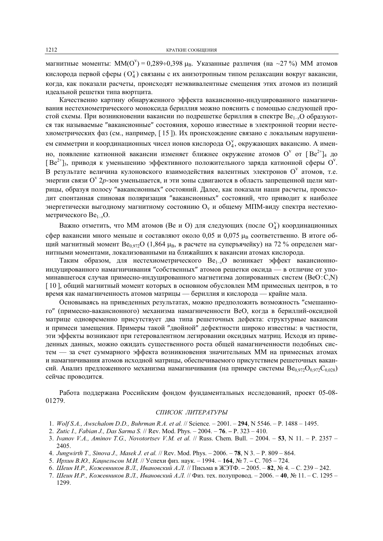магнитные моменты: ММ( $O^{v}$ ) = 0,289÷0,398  $\mu_{B}$ . Указанные различия (на ~27 %) ММ атомов кислорода первой сферы ( $O_4^V$ ) связаны с их анизотропным типом релаксации вокруг вакансии, когда, как показали расчеты, происходят неэквивалентные смещения этих атомов из позиций идеальной решетки типа вюртцита.

Качественно картину обнаруженного эффекта вакансионно-индуцированного намагничивания нестехиометрического моноксида бериллия можно пояснить с помощью следующей простой схемы. При возникновении вакансии по полрешетке бериллия в спектре Ве<sub>1–</sub>, О образуются так называемые "вакансионные" состояния, хорошо известные в электронной теории нестехиометрических фаз (см., например, [15]). Их происхождение связано с локальным нарушением симметрии и координационных чисел ионов кислорода  $O_4^v$ , окружающих вакансию. А именно, появление катионной вакансии изменяет ближнее окружение атомов  $O^{v}$  от  $[Be^{2+}]_4$  до [ Be<sup>2+</sup>]<sub>3</sub>, приводя к уменьшению эффективного положительного заряда катионной сферы O<sup>v</sup>. В результате величина кулоновского взаимодействия валентных электронов  $O<sup>v</sup>$  атомов, т.е. уњергии связи О<sup>v</sup> 2*p*-зон уменьшается, и эти зоны сдвигаются в область запрещенной щели матрицы, образуя полосу "вакансионных" состояний. Далее, как показали наши расчеты, происходит спонтанная спиновая поляризация "вакансионных" состояний, что приводит к наиболее энергетически выгодному магнитному состоянию  $O_y$  и общему МПМ-виду спектра нестехиометрического Ве<sub>1–*x*</sub>O.

Важно отметить, что ММ атомов (Ве и О) для следующих (после  $O_4^v$ ) координационных сфер вакансии много меньше и составляют около 0,05 и 0,075 µв соответственно. В итоге общий магнитный момент  $Be_{0.972}O$  (1,864  $\mu_B$ , в расчете на суперъячейку) на 72 % определен магнитными моментами, локализованными на ближайших к вакансии атомах кислорода.

Таким образом, для нестехиометрического  $Be_{1-x}O$  возникает эффект вакансионноиндуцированного намагничивания "собственных" атомов решетки оксида — в отличие от упоминавшегося случая примесно-индуцированного магнетизма допированных систем (BeO:C,N) [ 10 ], общий магнитный момент которых в основном обусловлен ММ примесных центров, в то время как намагниченность атомов матрицы — бериллия и кислорода — крайне мала.

Основываясь на приведенных результатах, можно предположить возможность "смешанного" (примесно-вакансионного) механизма намагниченности ВеО, когда в бериллий-оксидной матрице одновременно присутствует два типа решеточных дефекта: структурные вакансии и примеси замешения. Примеры такой "двойной" дефектности широко известны: в частности, эти эффекты возникают при гетеровалентном легировании оксидных матриц. Исходя из приведенных данных, можно ожидать существенного роста общей намагниченности подобных систем — за счет суммарного эффекта возникновения значительных ММ на примесных атомах и намагничивания атомов исходной матрицы, обеспечиваемого присутствием решеточных вакансий. Анализ предложенного механизма намагничивания (на примере системы  $Be_{0.972}O_{0.972}C_{0.028}$ ) сейчас проводится.

Работа поддержана Российским фондом фундаментальных исследований, проект 05-08-01279.

## СПИСОК ЛИТЕРАТУРЫ

- 1. *Wolf S.A., Awschalom D.D., Buhrman R.A. et al.* // Science*.* 2001. **294**, N 5546. P. 1488 1495.
- 2. *Zutic I., Fabian J., Das Sarma S.* // Rev. Mod. Phys. 2004. **76**. **–** P. 323 410.
- 3. *Ivanov V.A., Aminov T.G., Novotortsev V.M. et al.* // Russ. Chem. Bull. 2004. **53**, N 11. P. 2357 2405.
- 4. *Jungwirth T., Sinova J., Masek J. et al.* // Rev. Mod. Phys. 2006. **78**, N 3. P. 809 864.
- 5. *Ирхин В.Ю., Кацнельсон М.И.* // Успехи физ. наук. 1994. 164, № 7. С. 705 724.
- 6. Шеин И.Р., Кожевников В.Л., Ивановский А.Л. // Письма в ЖЭТФ. 2005. 82, № 4. С. 239 242.
- 7. Шеин И.Р., Кожевников В.Л., Ивановский А.Л. // Физ. тех. полупровод. 2006. 40, № 11. С. 1295 -1299.